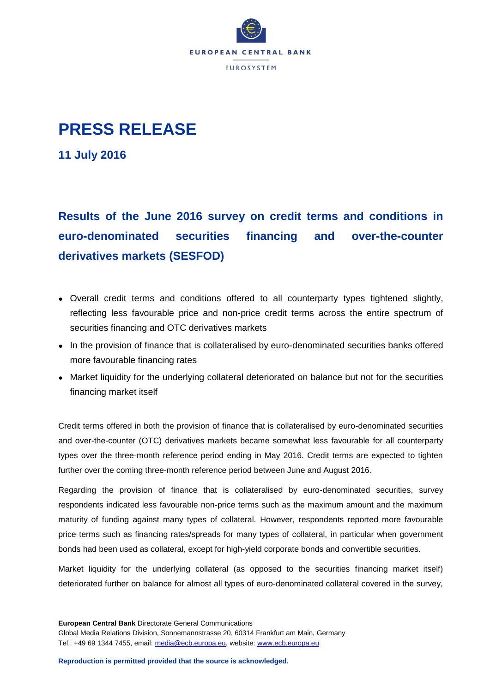

## **PRESS RELEASE**

**11 July 2016**

**Results of the June 2016 survey on credit terms and conditions in euro-denominated securities financing and over-the-counter derivatives markets (SESFOD)**

- Overall credit terms and conditions offered to all counterparty types tightened slightly, reflecting less favourable price and non-price credit terms across the entire spectrum of securities financing and OTC derivatives markets
- In the provision of finance that is collateralised by euro-denominated securities banks offered more favourable financing rates
- Market liquidity for the underlying collateral deteriorated on balance but not for the securities financing market itself

Credit terms offered in both the provision of finance that is collateralised by euro-denominated securities and over-the-counter (OTC) derivatives markets became somewhat less favourable for all counterparty types over the three-month reference period ending in May 2016. Credit terms are expected to tighten further over the coming three-month reference period between June and August 2016.

Regarding the provision of finance that is collateralised by euro-denominated securities, survey respondents indicated less favourable non-price terms such as the maximum amount and the maximum maturity of funding against many types of collateral. However, respondents reported more favourable price terms such as financing rates/spreads for many types of collateral, in particular when government bonds had been used as collateral, except for high-yield corporate bonds and convertible securities.

Market liquidity for the underlying collateral (as opposed to the securities financing market itself) deteriorated further on balance for almost all types of euro-denominated collateral covered in the survey,